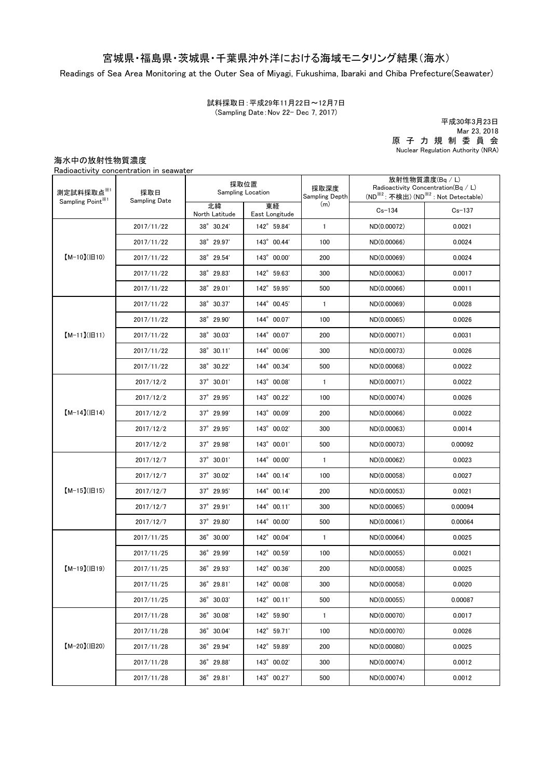## 宮城県・福島県・茨城県・千葉県沖外洋における海域モニタリング結果(海水)

Readings of Sea Area Monitoring at the Outer Sea of Miyagi, Fukushima, Ibaraki and Chiba Prefecture(Seawater)

試料採取日:平成29年11月22日~12月7日 (Sampling Date:Nov 22- Dec 7, 2017)

原 子 力 規 制 委 員 会 Nuclear Regulation Authority (NRA) 平成30年3月23日 Mar 23, 2018

海水中の放射性物質濃度

Radioactivity concentration in seawater

| 測定試料採取点※1<br>Sampling Point <sup>※1</sup> | 採取日<br>Sampling Date | 採取位置<br><b>Sampling Location</b> |                      | 採取深度<br>Sampling Depth | 放射性物質濃度(Bq / L)<br>Radioactivity Concentration( $Bq / L$ )<br>(ND <sup>※2</sup> : 不検出) (ND <sup>※2</sup> : Not Detectable) |            |
|-------------------------------------------|----------------------|----------------------------------|----------------------|------------------------|----------------------------------------------------------------------------------------------------------------------------|------------|
|                                           |                      | 北緯<br>North Latitude             | 東経<br>East Longitude | (m)                    | $Cs - 134$                                                                                                                 | $Cs - 137$ |
| $[M-10](H10)$                             | 2017/11/22           | 38° 30.24'                       | 142° 59.84'          | $\mathbf{1}$           | ND(0.00072)                                                                                                                | 0.0021     |
|                                           | 2017/11/22           | 38° 29.97'                       | 143° 00.44'          | 100                    | ND(0.00066)                                                                                                                | 0.0024     |
|                                           | 2017/11/22           | 38° 29.54'                       | 143° 00.00'          | 200                    | ND(0.00069)                                                                                                                | 0.0024     |
|                                           | 2017/11/22           | 38° 29.83'                       | 142° 59.63'          | 300                    | ND(0.00063)                                                                                                                | 0.0017     |
|                                           | 2017/11/22           | 38° 29.01'                       | 142° 59.95'          | 500                    | ND(0.00066)                                                                                                                | 0.0011     |
| $[M-11](H11)$                             | 2017/11/22           | 38° 30.37'                       | 144° 00.45'          | $\mathbf{1}$           | ND(0.00069)                                                                                                                | 0.0028     |
|                                           | 2017/11/22           | 38° 29.90'                       | 144° 00.07'          | 100                    | ND(0.00065)                                                                                                                | 0.0026     |
|                                           | 2017/11/22           | 38° 30.03'                       | 144° 00.07'          | 200                    | ND(0.00071)                                                                                                                | 0.0031     |
|                                           | 2017/11/22           | 38° 30.11'                       | 144° 00.06'          | 300                    | ND(0.00073)                                                                                                                | 0.0026     |
|                                           | 2017/11/22           | $38^{\circ}$ 30.22'              | 144° 00.34'          | 500                    | ND(0.00068)                                                                                                                | 0.0022     |
| $[M-14]( H14)$                            | 2017/12/2            | $37^{\circ}$ 30.01'              | 143° 00.08'          | $\mathbf{1}$           | ND(0.00071)                                                                                                                | 0.0022     |
|                                           | 2017/12/2            | 37° 29.95'                       | 143° 00.22'          | 100                    | ND(0.00074)                                                                                                                | 0.0026     |
|                                           | 2017/12/2            | $37^{\circ}$ 29.99'              | 143° 00.09'          | 200                    | ND(0.00066)                                                                                                                | 0.0022     |
|                                           | 2017/12/2            | 37° 29.95'                       | 143° 00.02'          | 300                    | ND(0.00063)                                                                                                                | 0.0014     |
|                                           | 2017/12/2            | $37^\circ$ 29.98'                | 143° 00.01'          | 500                    | ND(0.00073)                                                                                                                | 0.00092    |
| $[M-15]$ ( $[H15]$                        | 2017/12/7            | $37^{\circ}$ 30.01'              | 144° 00.00'          | $\mathbf{1}$           | ND(0.00062)                                                                                                                | 0.0023     |
|                                           | 2017/12/7            | 37° 30.02'                       | 144° 00.14'          | 100                    | ND(0.00058)                                                                                                                | 0.0027     |
|                                           | 2017/12/7            | $37^{\circ}$ 29.95'              | 144° 00.14'          | 200                    | ND(0.00053)                                                                                                                | 0.0021     |
|                                           | 2017/12/7            | $37^{\circ}$ 29.91'              | 144° 00.11'          | 300                    | ND(0.00065)                                                                                                                | 0.00094    |
|                                           | 2017/12/7            | $37^{\circ}$ 29.80               | 144° 00.00'          | 500                    | ND(0.00061)                                                                                                                | 0.00064    |
| $[M-19](H19)$                             | 2017/11/25           | 36° 30.00'                       | 142° 00.04'          | $\mathbf{1}$           | ND(0.00064)                                                                                                                | 0.0025     |
|                                           | 2017/11/25           | 36° 29.99'                       | 142° 00.59'          | 100                    | ND(0.00055)                                                                                                                | 0.0021     |
|                                           | 2017/11/25           | 36° 29.93'                       | 142° 00.36'          | 200                    | ND(0.00058)                                                                                                                | 0.0025     |
|                                           | 2017/11/25           | 36° 29.81'                       | 142° 00.08'          | 300                    | ND(0.00058)                                                                                                                | 0.0020     |
|                                           | 2017/11/25           | $36^{\circ}$ 30.03'              | 142° 00.11'          | 500                    | ND(0.00055)                                                                                                                | 0.00087    |
| $[M-20](H20)$                             | 2017/11/28           | 36° 30.08'                       | 142° 59.90'          | $\mathbf{1}$           | ND(0.00070)                                                                                                                | 0.0017     |
|                                           | 2017/11/28           | 36° 30.04'                       | 142° 59.71'          | 100                    | ND(0.00070)                                                                                                                | 0.0026     |
|                                           | 2017/11/28           | 36° 29.94'                       | 142° 59.89'          | 200                    | ND(0.00080)                                                                                                                | 0.0025     |
|                                           | 2017/11/28           | 36° 29.88'                       | 143° 00.02'          | 300                    | ND(0.00074)                                                                                                                | 0.0012     |
|                                           | 2017/11/28           | 36° 29.81'                       | 143° 00.27'          | 500                    | ND(0.00074)                                                                                                                | 0.0012     |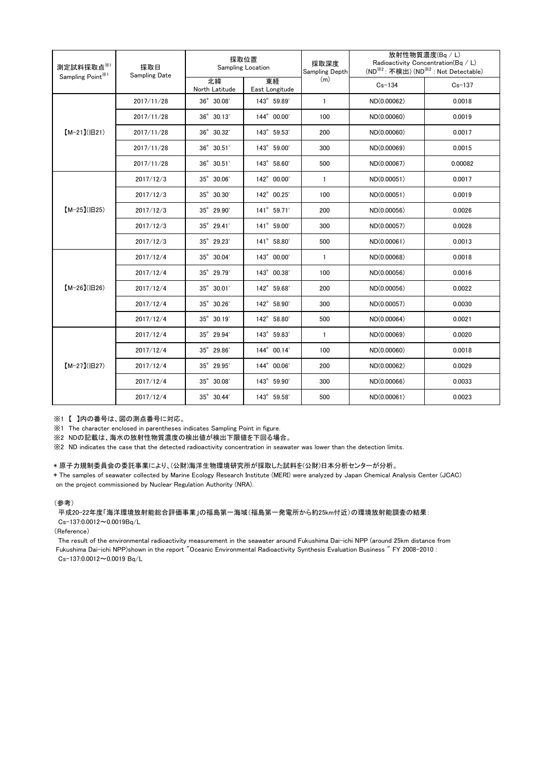| 測定試料採取点※1<br>Sampling Point <sup>※1</sup> | 採取日<br><b>Sampling Date</b> | 採取位置<br>Sampling Location |                      | 採取深度<br>Sampling Depth | 放射性物質濃度(Bg / L)<br>Radioactivity Concentration(Bq / L)<br>(ND <sup>※2</sup> : 不検出) (ND <sup>※2</sup> : Not Detectable) |            |
|-------------------------------------------|-----------------------------|---------------------------|----------------------|------------------------|------------------------------------------------------------------------------------------------------------------------|------------|
|                                           |                             | 北緯<br>North Latitude      | 東経<br>East Longitude | (m)                    | $Cs - 134$                                                                                                             | $Cs - 137$ |
| $[M-21](H21)$                             | 2017/11/28                  | $36^\circ$ $30.08'$       | 143° 59.89'          | $\mathbf{1}$           | ND(0.00062)                                                                                                            | 0.0018     |
|                                           | 2017/11/28                  | $36^{\circ}$ 30.13'       | 144° 00.00'          | 100                    | ND(0.00060)                                                                                                            | 0.0019     |
|                                           | 2017/11/28                  | 36° 30.32'                | 143° 59.53'          | 200                    | ND(0.00060)                                                                                                            | 0.0017     |
|                                           | 2017/11/28                  | $36^{\circ}$ 30.51'       | 143° 59.00'          | 300                    | ND(0.00069)                                                                                                            | 0.0015     |
|                                           | 2017/11/28                  | $36^{\circ}$ 30.51'       | 143° 58.60'          | 500                    | ND(0.00067)                                                                                                            | 0.00082    |
| $[M-25](H25)$                             | 2017/12/3                   | 35° 30.06'                | 142° 00.00'          | $\mathbf{1}$           | ND(0.00051)                                                                                                            | 0.0017     |
|                                           | 2017/12/3                   | 35° 30.30'                | 142° 00.25'          | 100                    | ND(0.00051)                                                                                                            | 0.0019     |
|                                           | 2017/12/3                   | 35° 29.90'                | 141° 59.71'          | 200                    | ND(0.00056)                                                                                                            | 0.0026     |
|                                           | 2017/12/3                   | 35° 29.41'                | 141° 59.00'          | 300                    | ND(0.00057)                                                                                                            | 0.0028     |
|                                           | 2017/12/3                   | 35° 29.23'                | 141° 58.80'          | 500                    | ND(0.00061)                                                                                                            | 0.0013     |
| $[M-26](B26)$                             | 2017/12/4                   | 35° 30.04'                | 143° 00.00'          | $\mathbf{1}$           | ND(0.00068)                                                                                                            | 0.0018     |
|                                           | 2017/12/4                   | $35^{\circ}$ 29.79'       | 143° 00.38'          | 100                    | ND(0.00056)                                                                                                            | 0.0016     |
|                                           | 2017/12/4                   | 35° 30.01'                | 142° 59.68'          | 200                    | ND(0.00056)                                                                                                            | 0.0022     |
|                                           | 2017/12/4                   | 35° 30.26'                | 142° 58.90'          | 300                    | ND(0.00057)                                                                                                            | 0.0030     |
|                                           | 2017/12/4                   | 35° 30.19'                | 142° 58.80'          | 500                    | ND(0.00064)                                                                                                            | 0.0021     |
| $[M-27](B27)$                             | 2017/12/4                   | 35° 29.94'                | 143° 59.83'          | $\mathbf{1}$           | ND(0.00069)                                                                                                            | 0.0020     |
|                                           | 2017/12/4                   | 35° 29.86'                | 144° 00.14'          | 100                    | ND(0.00060)                                                                                                            | 0.0018     |
|                                           | 2017/12/4                   | 35° 29.95'                | 144° 00.06'          | 200                    | ND(0.00062)                                                                                                            | 0.0029     |
|                                           | 2017/12/4                   | 35° 30.08'                | 143° 59.90'          | 300                    | ND(0.00066)                                                                                                            | 0.0033     |
|                                           | 2017/12/4                   | 35° 30.44'                | 143° 59.58'          | 500                    | ND(0.00061)                                                                                                            | 0.0023     |

※1 【 】内の番号は、図の測点番号に対応。

※1 The character enclosed in parentheses indicates Sampling Point in figure.

※2 NDの記載は、海水の放射性物質濃度の検出値が検出下限値を下回る場合。

※2 ND indicates the case that the detected radioactivity concentration in seawater was lower than the detection limits.

## \* 原子力規制委員会の委託事業により、(公財)海洋生物環境研究所が採取した試料を(公財)日本分析センターが分析。

\* The samples of seawater collected by Marine Ecology Research Institute (MERI) were analyzed by Japan Chemical Analysis Center (JCAC) on the project commissioned by Nuclear Regulation Authority (NRA).

## (参考)

平成20-22年度「海洋環境放射能総合評価事業」の福島第一海域(福島第一発電所から約25km付近)の環境放射能調査の結果: Cs-137:0.0012~0.0019Bq/L

(Reference)

The result of the environmental radioactivity measurement in the seawater around Fukushima Dai-ichi NPP (around 25km distance from Fukushima Dai-ichi NPP)shown in the report "Oceanic Environmental Radioactivity Synthesis Evaluation Business " FY 2008-2010 : Cs-137:0.0012~0.0019 Bq/L